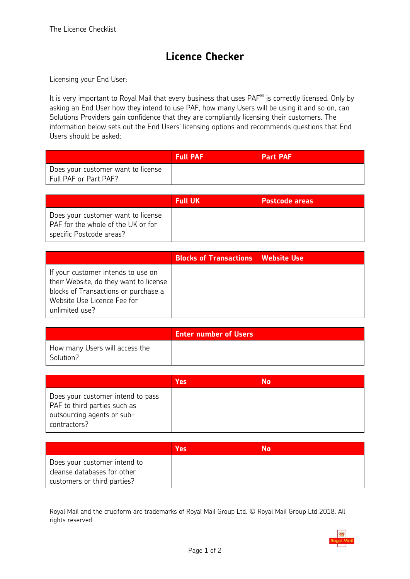## **Licence Checker**

Licensing your End User:

It is very important to Royal Mail that every business that uses  $\mathsf{PAF}^\circledast$  is correctly licensed. Only by asking an End User how they intend to use PAF, how many Users will be using it and so on, can Solutions Providers gain confidence that they are compliantly licensing their customers. The information below sets out the End Users' licensing options and recommends questions that End Users should be asked:

|                                                             | <b>Full PAF</b> | <b>Part PAF</b> |
|-------------------------------------------------------------|-----------------|-----------------|
| Does your customer want to license<br>Full PAF or Part PAF? |                 |                 |

|                                                                                                      | <b>Full UK</b> | <b>Postcode areas</b> |
|------------------------------------------------------------------------------------------------------|----------------|-----------------------|
| Does your customer want to license<br>PAF for the whole of the UK or for<br>specific Postcode areas? |                |                       |

|                                                                                                                                                                       | <b>Blocks of Transactions   Website Use</b> |  |
|-----------------------------------------------------------------------------------------------------------------------------------------------------------------------|---------------------------------------------|--|
| If your customer intends to use on<br>their Website, do they want to license<br>blocks of Transactions or purchase a<br>Website Use Licence Fee for<br>unlimited use? |                                             |  |

|                                             | <b>Enter number of Users</b> |
|---------------------------------------------|------------------------------|
| How many Users will access the<br>Solution? |                              |

|                                                                                                                 | <b>Yes</b> | No |
|-----------------------------------------------------------------------------------------------------------------|------------|----|
| Does your customer intend to pass<br>PAF to third parties such as<br>outsourcing agents or sub-<br>contractors? |            |    |

|                                                                                            | Yes | N٥ |
|--------------------------------------------------------------------------------------------|-----|----|
| Does your customer intend to<br>cleanse databases for other<br>customers or third parties? |     |    |

Royal Mail and the cruciform are trademarks of Royal Mail Group Ltd. © Royal Mail Group Ltd 2018. All rights reserved